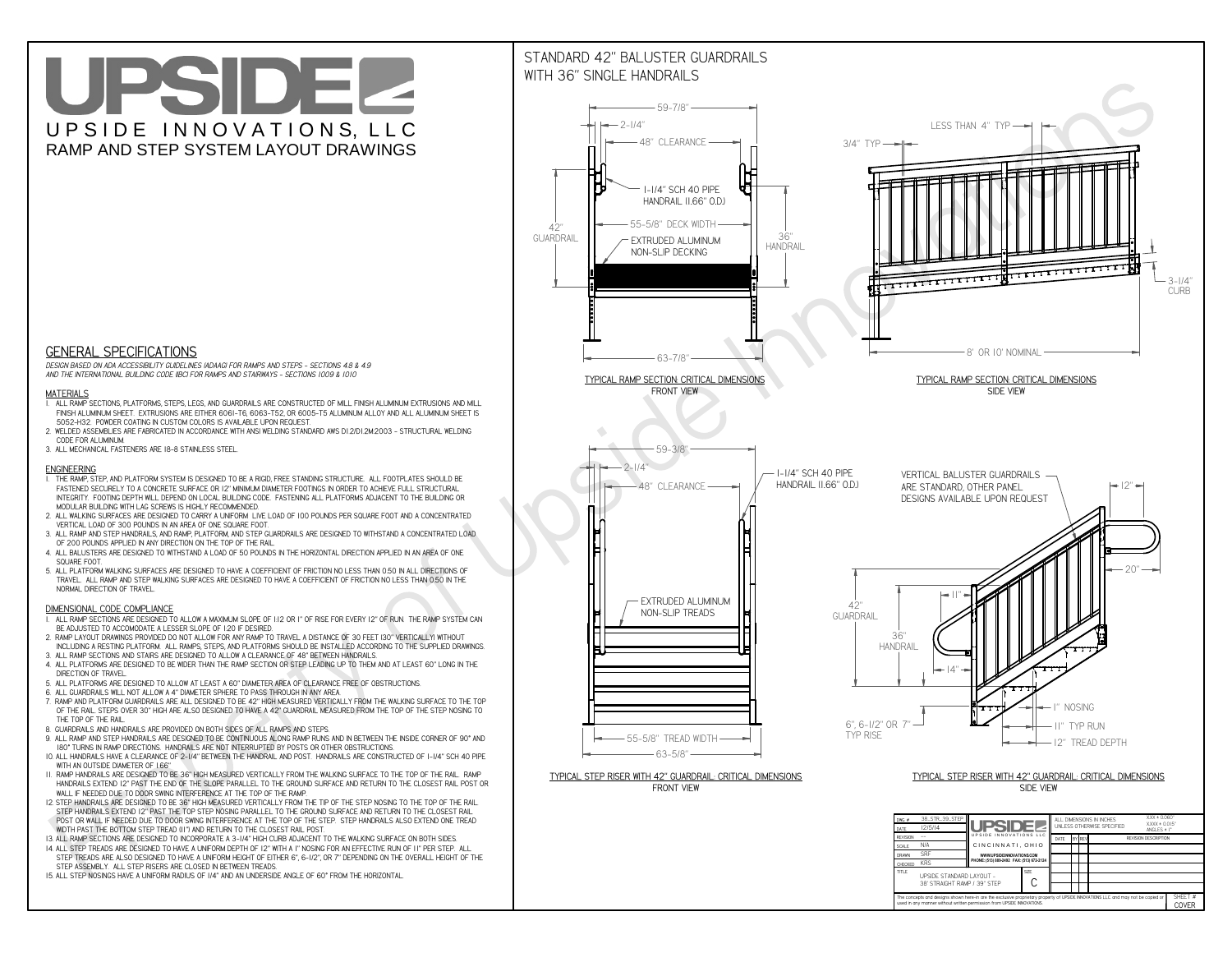**used in any manner without written permission from UPSIDE INNOVATIONS.**

# UPSIDEL UPSIDE INNOVATIONS, LLC RAMP AND STEP SYSTEM LAYOUT DRAWINGS

SHEET #**COVER**



The concepts and designs shown here-in are the exclusive proprietary property of UPSIDE INNOVATIONS LLC. and may not be copied o

**H** 

# WITH 36" SINGLE HANDRAILS



 *DESIGN BASED ON ADA ACCESSIBILITY GUIDELINES (ADAAG) FOR RAMPS AND STEPS - SECTIONS 4.8 & 4.9AND THE INTERNATIONAL BUILDING CODE (IBC) FOR RAMPS AND STAIRWAYS - SECTIONS 1009 & 1010*

### **MATERIALS**

- **1. ALL RAMP SECTIONS, PLATFORMS, STEPS, LEGS, AND GUARDRAILS ARE CONSTRUCTED OF MILL FINISH ALUMINUM EXTRUSIONS AND MILL FINISH ALUMINUM SHEET. EXTRUSIONS ARE EITHER 6061-T6, 6063-T52, OR 6005-T5 ALUMINUM ALLOY AND ALL ALUMINUM SHEET IS 5052-H32. POWDER COATING IN CUSTOM COLORS IS AVAILABLE UPON REQUEST.**
- **2. WELDED ASSEMBLIES ARE FABRICATED IN ACCORDANCE WITH ANSI WELDING STANDARD AWS D1.2/D1.2M:2003 STRUCTURAL WELDING CODE FOR ALUMINUM.**
- **3. ALL MECHANICAL FASTENERS ARE 18-8 STAINLESS STEEL.**

#### **ENGINEERING**

- **1. THE RAMP, STEP, AND PLATFORM SYSTEM IS DESIGNED TO BE A RIGID, FREE STANDING STRUCTURE. ALL FOOTPLATES SHOULD BE FASTENED SECURELY TO A CONCRETE SURFACE OR 12" MINIMUM DIAMETER FOOTINGS IN ORDER TO ACHIEVE FULL STRUCTURAL INTEGRITY. FOOTING DEPTH WILL DEPEND ON LOCAL BUILDING CODE. FASTENING ALL PLATFORMS ADJACENT TO THE BUILDING OR MODULAR BUILDING WITH LAG SCREWS IS HIGHLY RECOMMENDED.**
- **2. ALL WALKING SURFACES ARE DESIGNED TO CARRY A UNIFORM LIVE LOAD OF 100 POUNDS PER SQUARE FOOT AND A CONCENTRATED VERTICAL LOAD OF 300 POUNDS IN AN AREA OF ONE SQUARE FOOT.**
- **3. ALL RAMP AND STEP HANDRAILS, AND RAMP, PLATFORM, AND STEP GUARDRAILS ARE DESIGNED TO WITHSTAND A CONCENTRATED LOAD OF 200 POUNDS APPLIED IN ANY DIRECTION ON THE TOP OF THE RAIL.**
- **4. ALL BALUSTERS ARE DESIGNED TO WITHSTAND A LOAD OF 50 POUNDS IN THE HORIZONTAL DIRECTION APPLIED IN AN AREA OF ONE SQUARE FOOT.**
- **5. ALL PLATFORM WALKING SURFACES ARE DESIGNED TO HAVE A COEFFICIENT OF FRICTION NO LESS THAN 0.50 IN ALL DIRECTIONS OF TRAVEL. ALL RAMP AND STEP WALKING SURFACES ARE DESIGNED TO HAVE A COEFFICIENT OF FRICTION NO LESS THAN 0.50 IN THE NORMAL DIRECTION OF TRAVEL.**

### **DIMENSIONAL CODE COMPLIANCE**

- **1. ALL RAMP SECTIONS ARE DESIGNED TO ALLOW A MAXIMUM SLOPE OF 1:12 OR 1" OF RISE FOR EVERY 12" OF RUN. THE RAMP SYSTEM CAN BE ADJUSTED TO ACCOMODATE A LESSER SLOPE OF 1:20 IF DESIRED.**
- **2. RAMP LAYOUT DRAWINGS PROVIDED DO NOT ALLOW FOR ANY RAMP TO TRAVEL A DISTANCE OF 30 FEET (30" VERTICALLY) WITHOUT INCLUDING A RESTING PLATFORM. ALL RAMPS, STEPS, AND PLATFORMS SHOULD BE INSTALLED ACCORDING TO THE SUPPLIED DRAWINGS.**
- **3. ALL RAMP SECTIONS AND STAIRS ARE DESIGNED TO ALLOW A CLEARANCE OF 48" BETWEEN HANDRAILS.**
- **4. ALL PLATFORMS ARE DESIGNED TO BE WIDER THAN THE RAMP SECTION OR STEP LEADING UP TO THEM AND AT LEAST 60" LONG IN THE DIRECTION OF TRAVEL.**
- **5. ALL PLATFORMS ARE DESIGNED TO ALLOW AT LEAST A 60" DIAMETER AREA OF CLEARANCE FREE OF OBSTRUCTIONS.**
- **6. ALL GUARDRAILS WILL NOT ALLOW A 4" DIAMETER SPHERE TO PASS THROUGH IN ANY AREA.**
- **7. RAMP AND PLATFORM GUARDRAILS ARE ALL DESIGNED TO BE 42" HIGH MEASURED VERTICALLY FROM THE WALKING SURFACE TO THE TOP OF THE RAIL. STEPS OVER 30" HIGH ARE ALSO DESIGNED TO HAVE A 42" GUARDRAIL MEASURED FROM THE TOP OF THE STEP NOSING TO THE TOP OF THE RAIL.**
- **8. GUARDRAILS AND HANDRAILS ARE PROVIDED ON BOTH SIDES OF ALL RAMPS AND STEPS.**
- **9. ALL RAMP AND STEP HANDRAILS ARE DESIGNED TO BE CONTINUOUS ALONG RAMP RUNS AND IN BETWEEN THE INSIDE CORNER OF 90° AND 180° TURNS IN RAMP DIRECTIONS. HANDRAILS ARE NOT INTERRUPTED BY POSTS OR OTHER OBSTRUCTIONS.**
- **10. ALL HANDRAILS HAVE A CLEARANCE OF 2-1/4" BETWEEN THE HANDRAIL AND POST. HANDRAILS ARE CONSTRUCTED OF 1-1/4" SCH 40 PIPE WITH AN OUTSIDE DIAMETER OF 1.66"**
- **11. RAMP HANDRAILS ARE DESIGNED TO BE 36" HIGH MEASURED VERTICALLY FROM THE WALKING SURFACE TO THE TOP OF THE RAIL. RAMP HANDRAILS EXTEND 12" PAST THE END OF THE SLOPE PARALLEL TO THE GROUND SURFACE AND RETURN TO THE CLOSEST RAIL POST OR WALL IF NEEDED DUE TO DOOR SWING INTERFERENCE AT THE TOP OF THE RAMP.**
- **12. STEP HANDRAILS ARE DESIGNED TO BE 36" HIGH MEASURED VERTICALLY FROM THE TIP OF THE STEP NOSING TO THE TOP OF THE RAIL. STEP HANDRAILS EXTEND 12" PAST THE TOP STEP NOSING PARALLEL TO THE GROUND SURFACE AND RETURN TO THE CLOSEST RAIL POST OR WALL IF NEEDED DUE TO DOOR SWING INTERFERENCE AT THE TOP OF THE STEP. STEP HANDRAILS ALSO EXTEND ONE TREAD WIDTH PAST THE BOTTOM STEP TREAD (11") AND RETURN TO THE CLOSEST RAIL POST.**
- **13. ALL RAMP SECTIONS ARE DESIGNED TO INCORPORATE A 3-1/4" HIGH CURB ADJACENT TO THE WALKING SURFACE ON BOTH SIDES.**
- **14. ALL STEP TREADS ARE DESIGNED TO HAVE A UNIFORM DEPTH OF 12" WITH A 1" NOSING FOR AN EFFECTIVE RUN OF 11" PER STEP. ALL**
- **STEP TREADS ARE ALSO DESIGNED TO HAVE A UNIFORM HEIGHT OF EITHER 6", 6-1/2", OR 7" DEPENDING ON THE OVERALL HEIGHT OF THE STEP ASSEMBLY. ALL STEP RISERS ARE CLOSED IN BETWEEN TREADS.**
- **15. ALL STEP NOSINGS HAVE A UNIFORM RADIUS OF 1/4" AND AN UNDERSIDE ANGLE OF 60° FROM THE HORIZONTAL.**